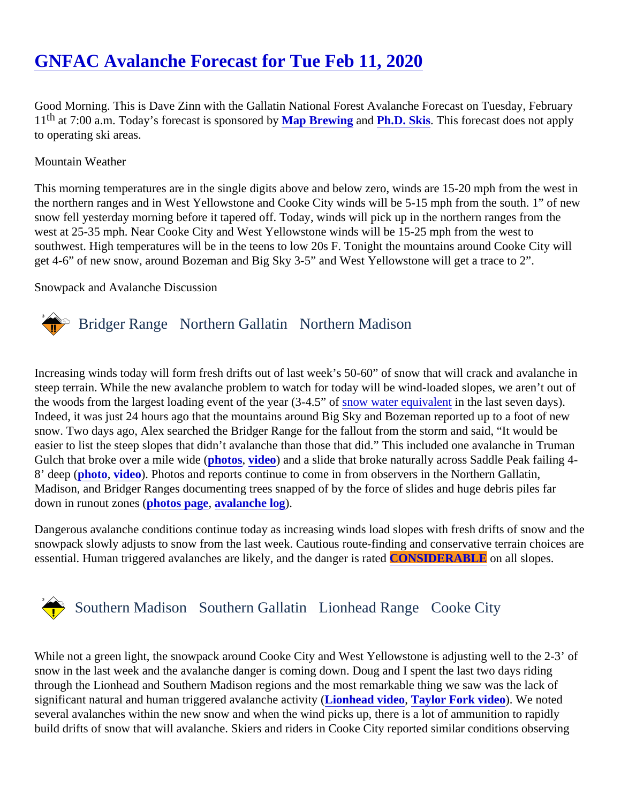# [GNFAC Avalanche Forecast for Tue Feb 11, 202](https://www.mtavalanche.com/forecast/20/02/11)0

Good Morning. This is Dave Zinn with the Gallatin National Forest Avalanche Forecast on Tuesday, February 11<sup>th</sup> at 7:00 a.m. Today's forecast is sponsore Way Brewing and [Ph.D. Skis.](https://www.phdskis.com/) This forecast does not apply to operating ski areas.

Mountain Weather

This morning temperatures are in the single digits above and below zero, winds are 15-20 mph from the west the northern ranges and in West Yellowstone and Cooke City winds will be 5-15 mph from the south. 1" of ne snow fell yesterday morning before it tapered off. Today, winds will pick up in the northern ranges from the west at 25-35 mph. Near Cooke City and West Yellowstone winds will be 15-25 mph from the west to southwest. High temperatures will be in the teens to low 20s F. Tonight the mountains around Cooke City will get 4-6" of new snow, around Bozeman and Big Sky 3-5" and West Yellowstone will get a trace to 2".

Snowpack and Avalanche Discussion

## Bridger Range Northern Gallatin Northern Madison

Increasing winds today will form fresh drifts out of last week's 50-60" of snow that will crack and avalanche in steep terrain. While the new avalanche problem to watch for today will be wind-loaded slopes, we aren't out of thewoods from the largest loading event of the year (3-4.5" of water equivalent the last seven days). Indeed, it was just 24 hours ago that the mountains around Big Sky and Bozeman reported up to a foot of new snow. Two days ago, Alex searched the Bridger Range for the fallout from the storm and said, "It would be easier to list the steep slopes that didn't avalanche than those that did." This included one avalanche in Trum Gulch that broke over a mile widphotos [video](https://www.youtube.com/watch?v=MXPxJvSz-uk&list=PLXu5151nmAvSbcbVfoR785MxkqkNVy8Pp&index=2&t=0s)) and a slide that broke naturally across Saddle Peak failing 4-8' deep [\(photo](https://www.mtavalanche.com/images/20/natural-saddle-peak-deep-slab-crowns-2), [video](https://www.youtube.com/watch?v=tJUrhcTRHac&list=PLXu5151nmAvSbcbVfoR785MxkqkNVy8Pp&index=5&t=0s)). Photos and reports continue to come in from observers in the Northern Gallatin, Madison, and Bridger Ranges documenting trees snapped of by the force of slides and huge debris piles far down in runout zones photos page [avalanche log](https://www.mtavalanche.com/avalanche-activity).

Dangerous avalanche conditions continue today as increasing winds load slopes with fresh drifts of snow and snowpack slowly adjusts to snow from the last week. Cautious route-finding and conservative terrain choices essential. Human triggered avalanches are likely, and the danger CONSIDERABLE on all slopes.

# Southern MadisonSouthern Gallatin Lionhead RangeCooke City

While not a green light, the snowpack around Cooke City and West Yellowstone is adjusting well to the 2-3' of snow in the last week and the avalanche danger is coming down. Doug and I spent the last two days riding through the Lionhead and Southern Madison regions and the most remarkable thing we saw was the lack of significant natural and human triggered avalanche actilion head video, [Taylor Fork video\)](https://www.youtube.com/watch?v=1kW1KxfjQK8&list=PLXu5151nmAvSbcbVfoR785MxkqkNVy8Pp&index=2&t=0s). We noted several avalanches within the new snow and when the wind picks up, there is a lot of ammunition to rapidly build drifts of snow that will avalanche. Skiers and riders in Cooke City reported similar conditions observing